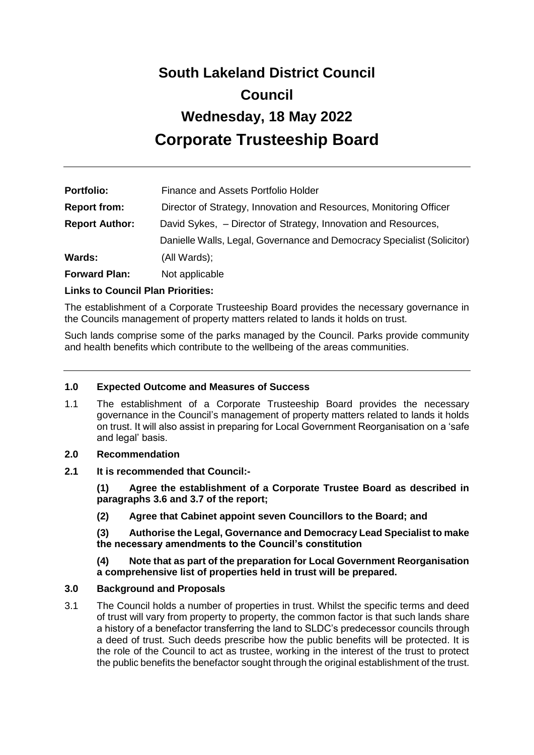# **South Lakeland District Council Council Wednesday, 18 May 2022 Corporate Trusteeship Board**

| <b>Portfolio:</b>     | Finance and Assets Portfolio Holder                                    |  |
|-----------------------|------------------------------------------------------------------------|--|
| <b>Report from:</b>   | Director of Strategy, Innovation and Resources, Monitoring Officer     |  |
| <b>Report Author:</b> | David Sykes, - Director of Strategy, Innovation and Resources,         |  |
|                       | Danielle Walls, Legal, Governance and Democracy Specialist (Solicitor) |  |
| Wards:                | (All Wards);                                                           |  |
| <b>Forward Plan:</b>  | Not applicable                                                         |  |

# **Links to Council Plan Priorities:**

The establishment of a Corporate Trusteeship Board provides the necessary governance in the Councils management of property matters related to lands it holds on trust.

Such lands comprise some of the parks managed by the Council. Parks provide community and health benefits which contribute to the wellbeing of the areas communities.

#### **1.0 Expected Outcome and Measures of Success**

1.1 The establishment of a Corporate Trusteeship Board provides the necessary governance in the Council's management of property matters related to lands it holds on trust. It will also assist in preparing for Local Government Reorganisation on a 'safe and legal' basis.

#### **2.0 Recommendation**

**2.1 It is recommended that Council:-**

**(1) Agree the establishment of a Corporate Trustee Board as described in paragraphs 3.6 and 3.7 of the report;** 

**(2) Agree that Cabinet appoint seven Councillors to the Board; and**

**(3) Authorise the Legal, Governance and Democracy Lead Specialist to make the necessary amendments to the Council's constitution**

### **(4) Note that as part of the preparation for Local Government Reorganisation a comprehensive list of properties held in trust will be prepared.**

# **3.0 Background and Proposals**

3.1 The Council holds a number of properties in trust. Whilst the specific terms and deed of trust will vary from property to property, the common factor is that such lands share a history of a benefactor transferring the land to SLDC's predecessor councils through a deed of trust. Such deeds prescribe how the public benefits will be protected. It is the role of the Council to act as trustee, working in the interest of the trust to protect the public benefits the benefactor sought through the original establishment of the trust.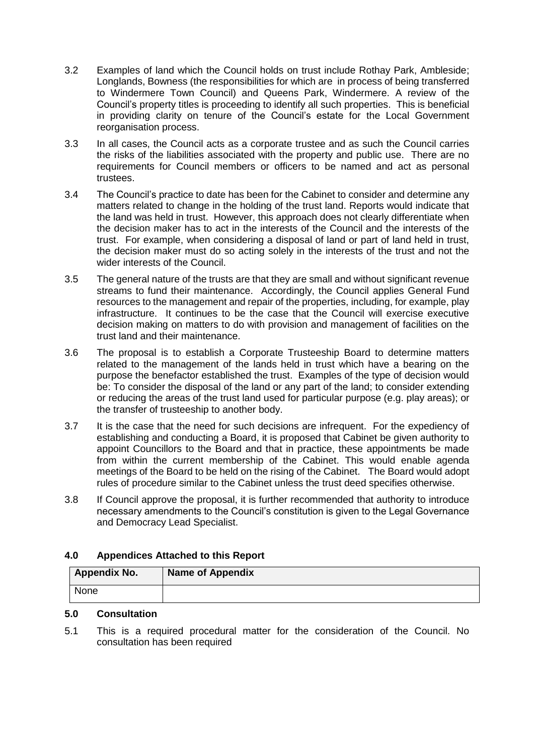- 3.2 Examples of land which the Council holds on trust include Rothay Park, Ambleside; Longlands, Bowness (the responsibilities for which are in process of being transferred to Windermere Town Council) and Queens Park, Windermere. A review of the Council's property titles is proceeding to identify all such properties. This is beneficial in providing clarity on tenure of the Council's estate for the Local Government reorganisation process.
- 3.3 In all cases, the Council acts as a corporate trustee and as such the Council carries the risks of the liabilities associated with the property and public use. There are no requirements for Council members or officers to be named and act as personal trustees.
- 3.4 The Council's practice to date has been for the Cabinet to consider and determine any matters related to change in the holding of the trust land. Reports would indicate that the land was held in trust. However, this approach does not clearly differentiate when the decision maker has to act in the interests of the Council and the interests of the trust. For example, when considering a disposal of land or part of land held in trust, the decision maker must do so acting solely in the interests of the trust and not the wider interests of the Council.
- 3.5 The general nature of the trusts are that they are small and without significant revenue streams to fund their maintenance. Accordingly, the Council applies General Fund resources to the management and repair of the properties, including, for example, play infrastructure. It continues to be the case that the Council will exercise executive decision making on matters to do with provision and management of facilities on the trust land and their maintenance.
- 3.6 The proposal is to establish a Corporate Trusteeship Board to determine matters related to the management of the lands held in trust which have a bearing on the purpose the benefactor established the trust. Examples of the type of decision would be: To consider the disposal of the land or any part of the land; to consider extending or reducing the areas of the trust land used for particular purpose (e.g. play areas); or the transfer of trusteeship to another body.
- 3.7 It is the case that the need for such decisions are infrequent. For the expediency of establishing and conducting a Board, it is proposed that Cabinet be given authority to appoint Councillors to the Board and that in practice, these appointments be made from within the current membership of the Cabinet. This would enable agenda meetings of the Board to be held on the rising of the Cabinet. The Board would adopt rules of procedure similar to the Cabinet unless the trust deed specifies otherwise.
- 3.8 If Council approve the proposal, it is further recommended that authority to introduce necessary amendments to the Council's constitution is given to the Legal Governance and Democracy Lead Specialist.

# **4.0 Appendices Attached to this Report**

| <b>Appendix No.</b> | <b>Name of Appendix</b> |
|---------------------|-------------------------|
| None                |                         |

# **5.0 Consultation**

5.1 This is a required procedural matter for the consideration of the Council. No consultation has been required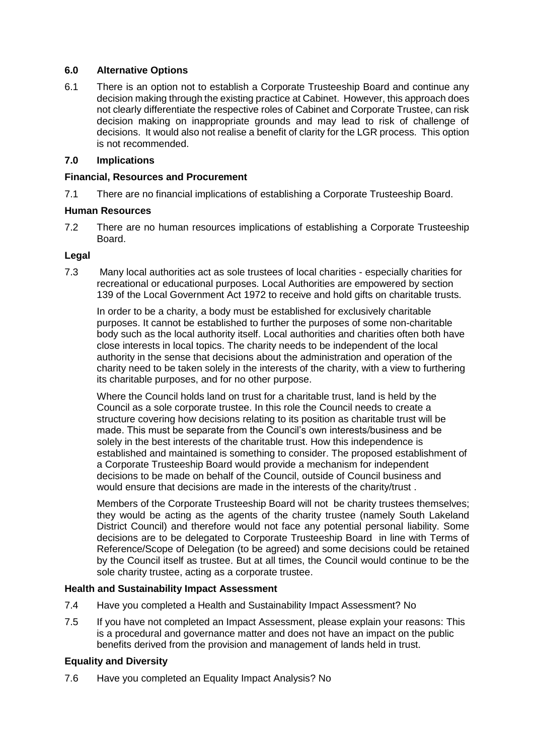# **6.0 Alternative Options**

6.1 There is an option not to establish a Corporate Trusteeship Board and continue any decision making through the existing practice at Cabinet. However, this approach does not clearly differentiate the respective roles of Cabinet and Corporate Trustee, can risk decision making on inappropriate grounds and may lead to risk of challenge of decisions. It would also not realise a benefit of clarity for the LGR process. This option is not recommended.

# **7.0 Implications**

# **Financial, Resources and Procurement**

7.1 There are no financial implications of establishing a Corporate Trusteeship Board.

# **Human Resources**

7.2 There are no human resources implications of establishing a Corporate Trusteeship Board.

# **Legal**

7.3 Many local authorities act as sole trustees of local charities - especially charities for recreational or educational purposes. Local Authorities are empowered by section 139 of the Local Government Act 1972 to receive and hold gifts on charitable trusts.

In order to be a charity, a body must be established for exclusively charitable purposes. It cannot be established to further the purposes of some non-charitable body such as the local authority itself. Local authorities and charities often both have close interests in local topics. The charity needs to be independent of the local authority in the sense that decisions about the administration and operation of the charity need to be taken solely in the interests of the charity, with a view to furthering its charitable purposes, and for no other purpose.

Where the Council holds land on trust for a charitable trust, land is held by the Council as a sole corporate trustee. In this role the Council needs to create a structure covering how decisions relating to its position as charitable trust will be made. This must be separate from the Council's own interests/business and be solely in the best interests of the charitable trust. How this independence is established and maintained is something to consider. The proposed establishment of a Corporate Trusteeship Board would provide a mechanism for independent decisions to be made on behalf of the Council, outside of Council business and would ensure that decisions are made in the interests of the charity/trust .

Members of the Corporate Trusteeship Board will not be charity trustees themselves; they would be acting as the agents of the charity trustee (namely South Lakeland District Council) and therefore would not face any potential personal liability. Some decisions are to be delegated to Corporate Trusteeship Board in line with Terms of Reference/Scope of Delegation (to be agreed) and some decisions could be retained by the Council itself as trustee. But at all times, the Council would continue to be the sole charity trustee, acting as a corporate trustee.

# **Health and Sustainability Impact Assessment**

- 7.4 Have you completed a Health and Sustainability Impact Assessment? No
- 7.5 If you have not completed an Impact Assessment, please explain your reasons: This is a procedural and governance matter and does not have an impact on the public benefits derived from the provision and management of lands held in trust.

# **Equality and Diversity**

7.6 Have you completed an Equality Impact Analysis? No